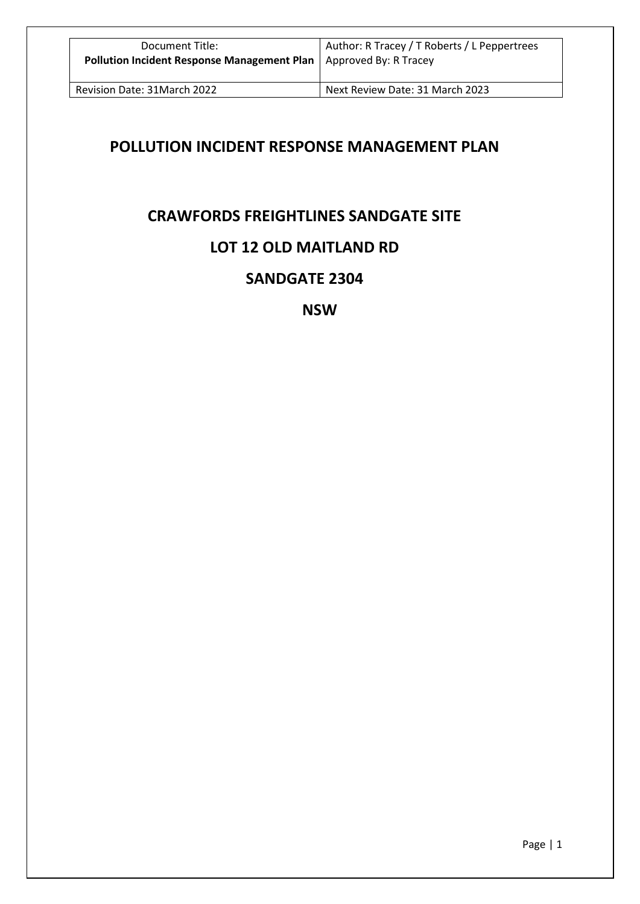# **POLLUTION INCIDENT RESPONSE MANAGEMENT PLAN**

# **CRAWFORDS FREIGHTLINES SANDGATE SITE**

# **LOT 12 OLD MAITLAND RD**

# **SANDGATE 2304**

**NSW**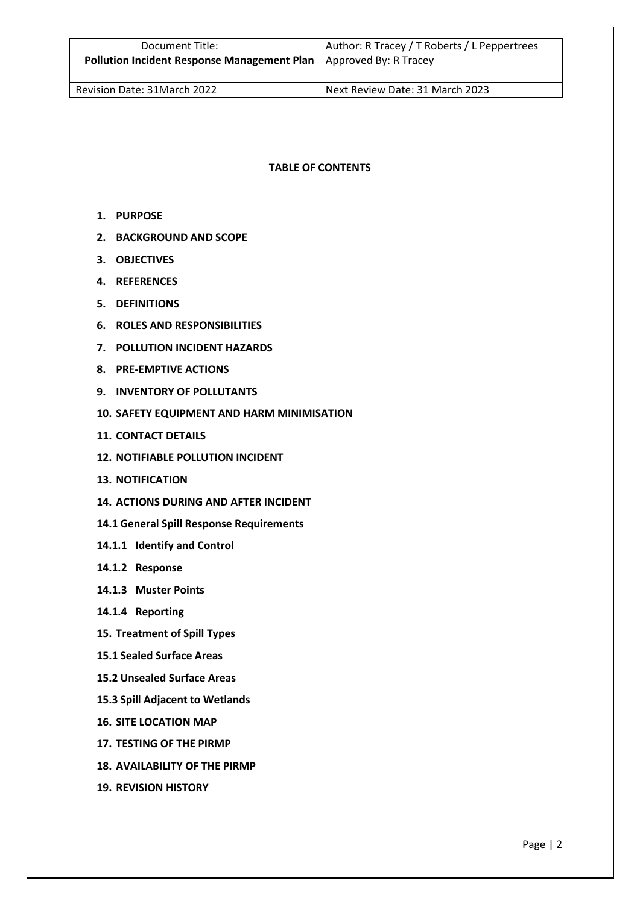# **TABLE OF CONTENTS**

- **1. PURPOSE**
- **2. BACKGROUND AND SCOPE**
- **3. OBJECTIVES**
- **4. REFERENCES**
- **5. DEFINITIONS**
- **6. ROLES AND RESPONSIBILITIES**
- **7. POLLUTION INCIDENT HAZARDS**
- **8. PRE-EMPTIVE ACTIONS**
- **9. INVENTORY OF POLLUTANTS**
- **10. SAFETY EQUIPMENT AND HARM MINIMISATION**
- **11. CONTACT DETAILS**
- **12. NOTIFIABLE POLLUTION INCIDENT**
- **13. NOTIFICATION**
- **14. ACTIONS DURING AND AFTER INCIDENT**
- **14.1 General Spill Response Requirements**
- **14.1.1 Identify and Control**
- **14.1.2 Response**
- **14.1.3 Muster Points**
- **14.1.4 Reporting**
- **15. Treatment of Spill Types**
- **15.1 Sealed Surface Areas**
- **15.2 Unsealed Surface Areas**
- **15.3 Spill Adjacent to Wetlands**
- **16. SITE LOCATION MAP**
- **17. TESTING OF THE PIRMP**
- **18. AVAILABILITY OF THE PIRMP**
- **19. REVISION HISTORY**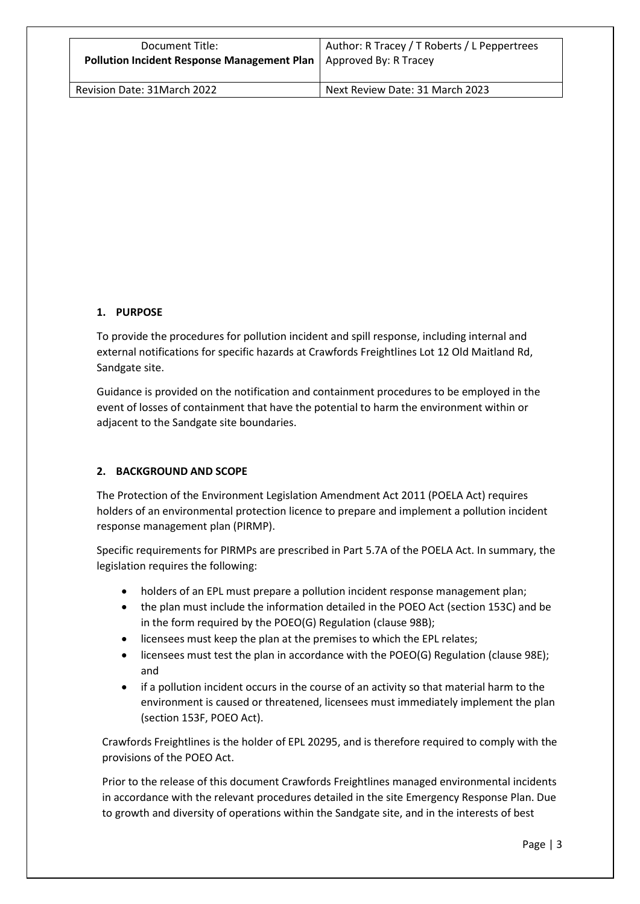| Document Title:                                    | Author: R Tracey / T Roberts / L Peppertrees |  |
|----------------------------------------------------|----------------------------------------------|--|
| <b>Pollution Incident Response Management Plan</b> | Approved By: R Tracey                        |  |
| Revision Date: 31March 2022                        | Next Review Date: 31 March 2023              |  |

# **1. PURPOSE**

To provide the procedures for pollution incident and spill response, including internal and external notifications for specific hazards at Crawfords Freightlines Lot 12 Old Maitland Rd, Sandgate site.

Guidance is provided on the notification and containment procedures to be employed in the event of losses of containment that have the potential to harm the environment within or adjacent to the Sandgate site boundaries.

# **2. BACKGROUND AND SCOPE**

The Protection of the Environment Legislation Amendment Act 2011 (POELA Act) requires holders of an environmental protection licence to prepare and implement a pollution incident response management plan (PIRMP).

Specific requirements for PIRMPs are prescribed in Part 5.7A of the POELA Act. In summary, the legislation requires the following:

- holders of an EPL must prepare a pollution incident response management plan;
- the plan must include the information detailed in the POEO Act (section 153C) and be in the form required by the POEO(G) Regulation (clause 98B);
- licensees must keep the plan at the premises to which the EPL relates;
- licensees must test the plan in accordance with the POEO(G) Regulation (clause 98E); and
- if a pollution incident occurs in the course of an activity so that material harm to the environment is caused or threatened, licensees must immediately implement the plan (section 153F, POEO Act).

Crawfords Freightlines is the holder of EPL 20295, and is therefore required to comply with the provisions of the POEO Act.

Prior to the release of this document Crawfords Freightlines managed environmental incidents in accordance with the relevant procedures detailed in the site Emergency Response Plan. Due to growth and diversity of operations within the Sandgate site, and in the interests of best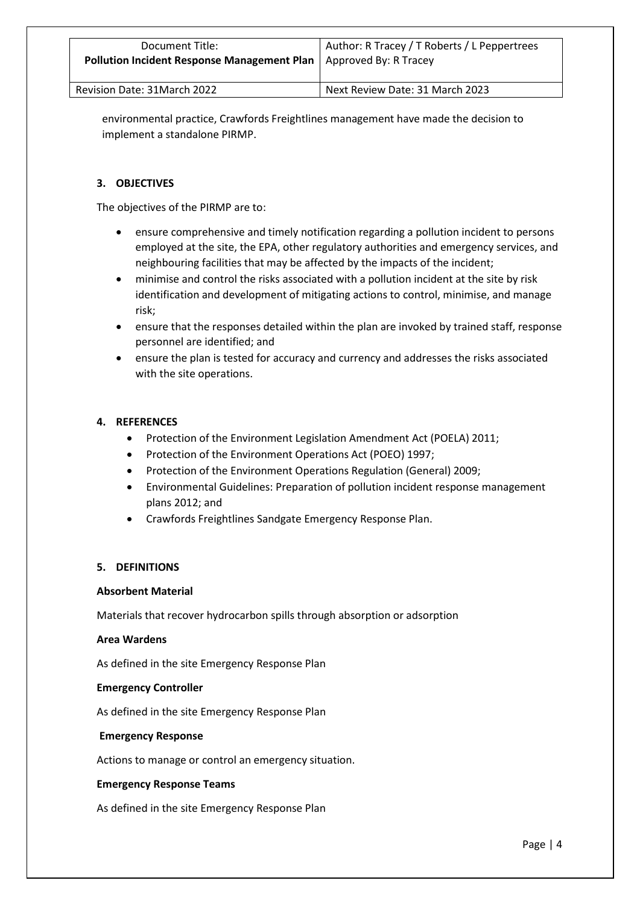environmental practice, Crawfords Freightlines management have made the decision to implement a standalone PIRMP.

# **3. OBJECTIVES**

The objectives of the PIRMP are to:

- ensure comprehensive and timely notification regarding a pollution incident to persons employed at the site, the EPA, other regulatory authorities and emergency services, and neighbouring facilities that may be affected by the impacts of the incident;
- minimise and control the risks associated with a pollution incident at the site by risk identification and development of mitigating actions to control, minimise, and manage risk;
- ensure that the responses detailed within the plan are invoked by trained staff, response personnel are identified; and
- ensure the plan is tested for accuracy and currency and addresses the risks associated with the site operations.

# **4. REFERENCES**

- Protection of the Environment Legislation Amendment Act (POELA) 2011;
- Protection of the Environment Operations Act (POEO) 1997;
- Protection of the Environment Operations Regulation (General) 2009;
- Environmental Guidelines: Preparation of pollution incident response management plans 2012; and
- Crawfords Freightlines Sandgate Emergency Response Plan.

# **5. DEFINITIONS**

# **Absorbent Material**

Materials that recover hydrocarbon spills through absorption or adsorption

# **Area Wardens**

As defined in the site Emergency Response Plan

# **Emergency Controller**

As defined in the site Emergency Response Plan

# **Emergency Response**

Actions to manage or control an emergency situation.

# **Emergency Response Teams**

As defined in the site Emergency Response Plan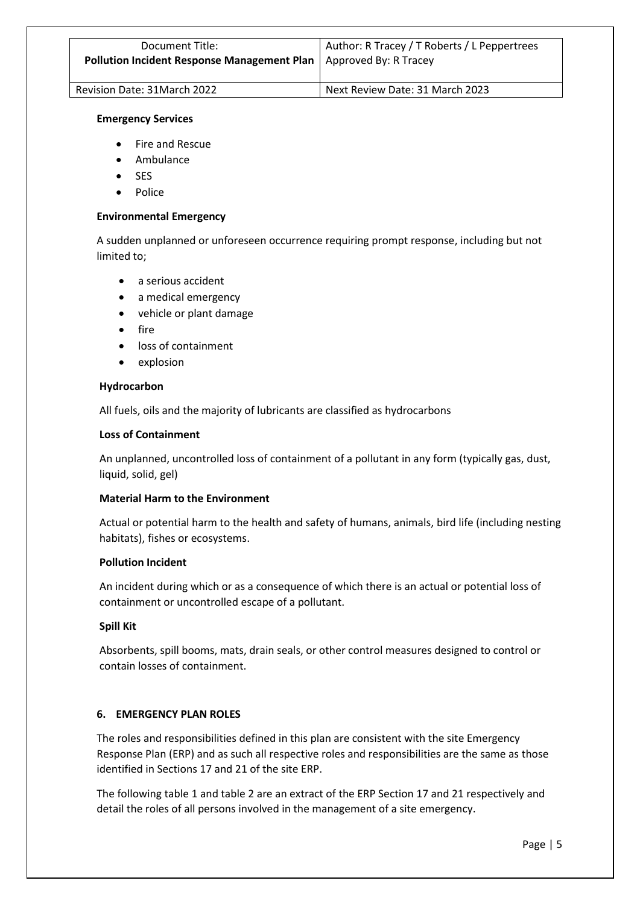#### **Emergency Services**

- Fire and Rescue
- Ambulance
- **SES**
- Police

#### **Environmental Emergency**

A sudden unplanned or unforeseen occurrence requiring prompt response, including but not limited to;

- a serious accident
- a medical emergency
- vehicle or plant damage
- $f$ ire
- loss of containment
- explosion

#### **Hydrocarbon**

All fuels, oils and the majority of lubricants are classified as hydrocarbons

#### **Loss of Containment**

An unplanned, uncontrolled loss of containment of a pollutant in any form (typically gas, dust, liquid, solid, gel)

# **Material Harm to the Environment**

Actual or potential harm to the health and safety of humans, animals, bird life (including nesting habitats), fishes or ecosystems.

# **Pollution Incident**

An incident during which or as a consequence of which there is an actual or potential loss of containment or uncontrolled escape of a pollutant.

# **Spill Kit**

Absorbents, spill booms, mats, drain seals, or other control measures designed to control or contain losses of containment.

# **6. EMERGENCY PLAN ROLES**

The roles and responsibilities defined in this plan are consistent with the site Emergency Response Plan (ERP) and as such all respective roles and responsibilities are the same as those identified in Sections 17 and 21 of the site ERP.

The following table 1 and table 2 are an extract of the ERP Section 17 and 21 respectively and detail the roles of all persons involved in the management of a site emergency.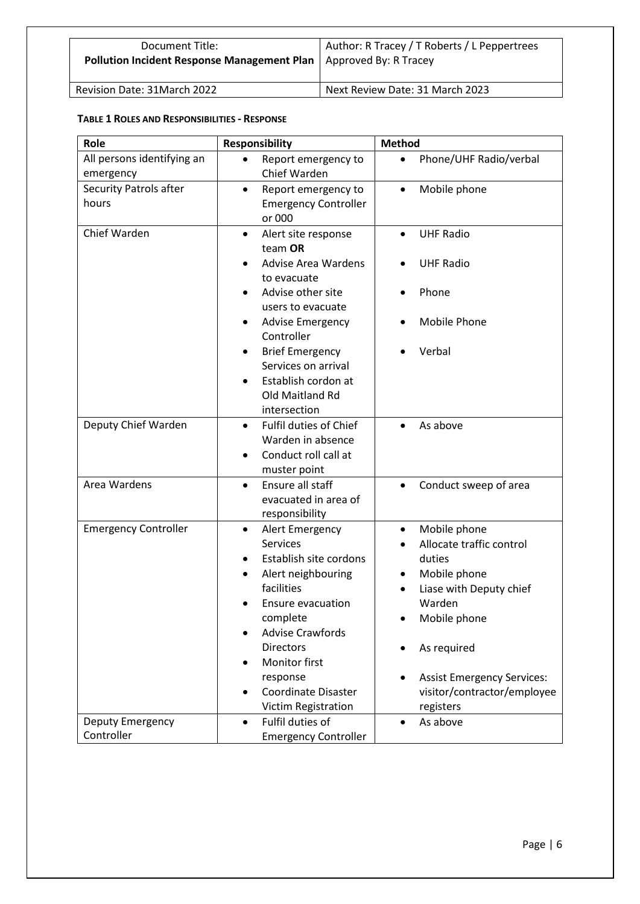| Document Title:<br><b>Pollution Incident Response Management Plan   Approved By: R Tracey</b> | Author: R Tracey / T Roberts / L Peppertrees |  |
|-----------------------------------------------------------------------------------------------|----------------------------------------------|--|
| Revision Date: 31March 2022                                                                   | Next Review Date: 31 March 2023              |  |

# **TABLE 1 ROLES AND RESPONSIBILITIES - RESPONSE**

| Role                                    | <b>Responsibility</b>                                                                                                                                                                                                                                                                                            | <b>Method</b>                                                                                                                                                                                                                        |
|-----------------------------------------|------------------------------------------------------------------------------------------------------------------------------------------------------------------------------------------------------------------------------------------------------------------------------------------------------------------|--------------------------------------------------------------------------------------------------------------------------------------------------------------------------------------------------------------------------------------|
| All persons identifying an<br>emergency | Report emergency to<br>$\bullet$<br>Chief Warden                                                                                                                                                                                                                                                                 | Phone/UHF Radio/verbal<br>$\bullet$                                                                                                                                                                                                  |
| <b>Security Patrols after</b><br>hours  | Report emergency to<br>$\bullet$<br><b>Emergency Controller</b><br>or 000                                                                                                                                                                                                                                        | Mobile phone<br>$\bullet$                                                                                                                                                                                                            |
| Chief Warden                            | Alert site response<br>$\bullet$<br>team OR<br><b>Advise Area Wardens</b><br>to evacuate<br>Advise other site<br>users to evacuate<br><b>Advise Emergency</b><br>$\bullet$<br>Controller<br><b>Brief Emergency</b><br>Services on arrival<br>Establish cordon at<br>$\bullet$<br>Old Maitland Rd<br>intersection | <b>UHF Radio</b><br>$\bullet$<br><b>UHF Radio</b><br>Phone<br><b>Mobile Phone</b><br>Verbal                                                                                                                                          |
| Deputy Chief Warden                     | Fulfil duties of Chief<br>$\bullet$<br>Warden in absence<br>Conduct roll call at<br>muster point                                                                                                                                                                                                                 | As above                                                                                                                                                                                                                             |
| Area Wardens                            | Ensure all staff<br>$\bullet$<br>evacuated in area of<br>responsibility                                                                                                                                                                                                                                          | Conduct sweep of area<br>$\bullet$                                                                                                                                                                                                   |
| <b>Emergency Controller</b>             | Alert Emergency<br>$\bullet$<br><b>Services</b><br>Establish site cordons<br>٠<br>Alert neighbouring<br>facilities<br>Ensure evacuation<br>complete<br><b>Advise Crawfords</b><br><b>Directors</b><br>Monitor first<br>response<br><b>Coordinate Disaster</b><br>Victim Registration                             | Mobile phone<br>$\bullet$<br>Allocate traffic control<br>duties<br>Mobile phone<br>Liase with Deputy chief<br>Warden<br>Mobile phone<br>As required<br><b>Assist Emergency Services:</b><br>visitor/contractor/employee<br>registers |
| Deputy Emergency<br>Controller          | Fulfil duties of<br>$\bullet$<br><b>Emergency Controller</b>                                                                                                                                                                                                                                                     | As above<br>$\bullet$                                                                                                                                                                                                                |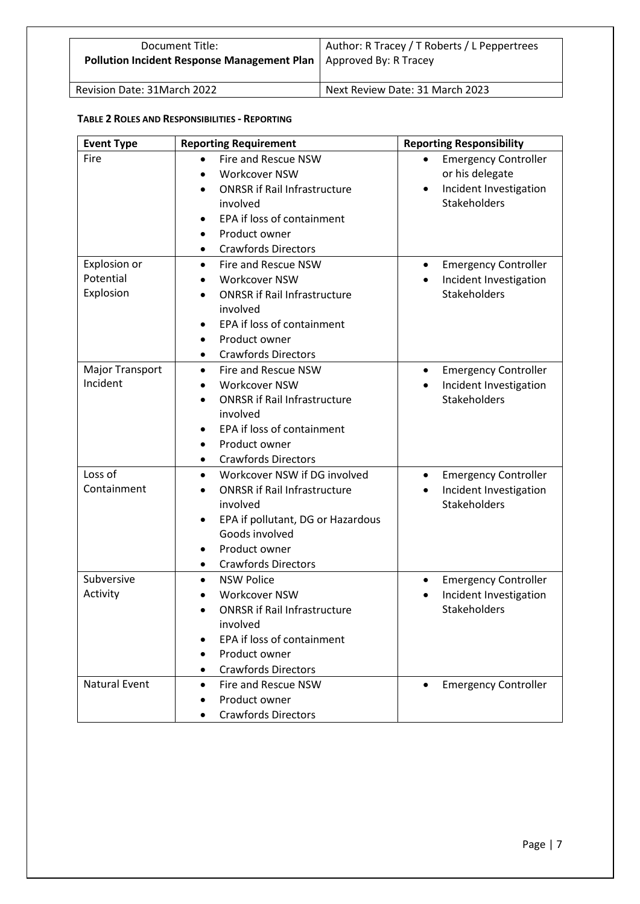| Document Title:<br>Pollution Incident Response Management Plan   Approved By: R Tracey | Author: R Tracey / T Roberts / L Peppertrees |
|----------------------------------------------------------------------------------------|----------------------------------------------|
|                                                                                        |                                              |

| <b>Event Type</b>    | <b>Reporting Requirement</b>                     | <b>Reporting Responsibility</b>          |
|----------------------|--------------------------------------------------|------------------------------------------|
| Fire                 | Fire and Rescue NSW                              | <b>Emergency Controller</b>              |
|                      | Workcover NSW<br>$\bullet$                       | or his delegate                          |
|                      | <b>ONRSR if Rail Infrastructure</b><br>$\bullet$ | Incident Investigation                   |
|                      | involved                                         | <b>Stakeholders</b>                      |
|                      | EPA if loss of containment<br>$\bullet$          |                                          |
|                      | Product owner<br>$\bullet$                       |                                          |
|                      | <b>Crawfords Directors</b><br>٠                  |                                          |
| Explosion or         | Fire and Rescue NSW<br>$\bullet$                 | <b>Emergency Controller</b><br>$\bullet$ |
| Potential            | <b>Workcover NSW</b><br>$\bullet$                | Incident Investigation                   |
| Explosion            | <b>ONRSR if Rail Infrastructure</b><br>$\bullet$ | Stakeholders                             |
|                      | involved                                         |                                          |
|                      | EPA if loss of containment<br>$\bullet$          |                                          |
|                      | Product owner<br>$\bullet$                       |                                          |
|                      | <b>Crawfords Directors</b><br>$\bullet$          |                                          |
| Major Transport      | Fire and Rescue NSW<br>$\bullet$                 | <b>Emergency Controller</b><br>٠         |
| Incident             | Workcover NSW<br>$\bullet$                       | Incident Investigation<br>$\bullet$      |
|                      | <b>ONRSR if Rail Infrastructure</b><br>$\bullet$ | Stakeholders                             |
|                      | involved                                         |                                          |
|                      | EPA if loss of containment<br>$\bullet$          |                                          |
|                      | Product owner<br>$\bullet$                       |                                          |
|                      | <b>Crawfords Directors</b><br>$\bullet$          |                                          |
| Loss of              | Workcover NSW if DG involved<br>$\bullet$        | <b>Emergency Controller</b><br>$\bullet$ |
| Containment          | <b>ONRSR if Rail Infrastructure</b><br>$\bullet$ | Incident Investigation<br>$\bullet$      |
|                      | involved                                         | <b>Stakeholders</b>                      |
|                      | EPA if pollutant, DG or Hazardous<br>٠           |                                          |
|                      | Goods involved                                   |                                          |
|                      | Product owner<br>٠                               |                                          |
|                      | <b>Crawfords Directors</b><br>٠                  |                                          |
| Subversive           | <b>NSW Police</b><br>$\bullet$                   | <b>Emergency Controller</b><br>$\bullet$ |
| Activity             | <b>Workcover NSW</b>                             | Incident Investigation                   |
|                      | <b>ONRSR if Rail Infrastructure</b>              | <b>Stakeholders</b>                      |
|                      | involved                                         |                                          |
|                      | EPA if loss of containment                       |                                          |
|                      | Product owner                                    |                                          |
|                      | <b>Crawfords Directors</b><br>٠                  |                                          |
| <b>Natural Event</b> | Fire and Rescue NSW<br>$\bullet$                 | <b>Emergency Controller</b>              |
|                      | Product owner                                    |                                          |
|                      | <b>Crawfords Directors</b>                       |                                          |

# **TABLE 2 ROLES AND RESPONSIBILITIES - REPORTING**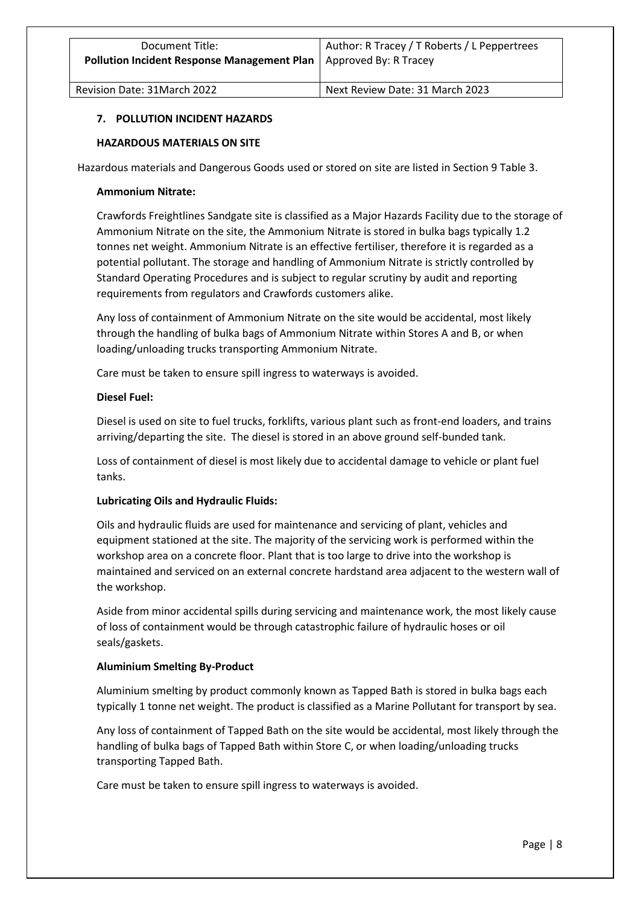# **7. POLLUTION INCIDENT HAZARDS**

# **HAZARDOUS MATERIALS ON SITE**

Hazardous materials and Dangerous Goods used or stored on site are listed in Section 9 Table 3.

# **Ammonium Nitrate:**

Crawfords Freightlines Sandgate site is classified as a Major Hazards Facility due to the storage of Ammonium Nitrate on the site, the Ammonium Nitrate is stored in bulka bags typically 1.2 tonnes net weight. Ammonium Nitrate is an effective fertiliser, therefore it is regarded as a potential pollutant. The storage and handling of Ammonium Nitrate is strictly controlled by Standard Operating Procedures and is subject to regular scrutiny by audit and reporting requirements from regulators and Crawfords customers alike.

Any loss of containment of Ammonium Nitrate on the site would be accidental, most likely through the handling of bulka bags of Ammonium Nitrate within Stores A and B, or when loading/unloading trucks transporting Ammonium Nitrate.

Care must be taken to ensure spill ingress to waterways is avoided.

# **Diesel Fuel:**

Diesel is used on site to fuel trucks, forklifts, various plant such as front-end loaders, and trains arriving/departing the site. The diesel is stored in an above ground self-bunded tank.

Loss of containment of diesel is most likely due to accidental damage to vehicle or plant fuel tanks.

# **Lubricating Oils and Hydraulic Fluids:**

Oils and hydraulic fluids are used for maintenance and servicing of plant, vehicles and equipment stationed at the site. The majority of the servicing work is performed within the workshop area on a concrete floor. Plant that is too large to drive into the workshop is maintained and serviced on an external concrete hardstand area adjacent to the western wall of the workshop.

Aside from minor accidental spills during servicing and maintenance work, the most likely cause of loss of containment would be through catastrophic failure of hydraulic hoses or oil seals/gaskets.

# **Aluminium Smelting By-Product**

Aluminium smelting by product commonly known as Tapped Bath is stored in bulka bags each typically 1 tonne net weight. The product is classified as a Marine Pollutant for transport by sea.

Any loss of containment of Tapped Bath on the site would be accidental, most likely through the handling of bulka bags of Tapped Bath within Store C, or when loading/unloading trucks transporting Tapped Bath.

Care must be taken to ensure spill ingress to waterways is avoided.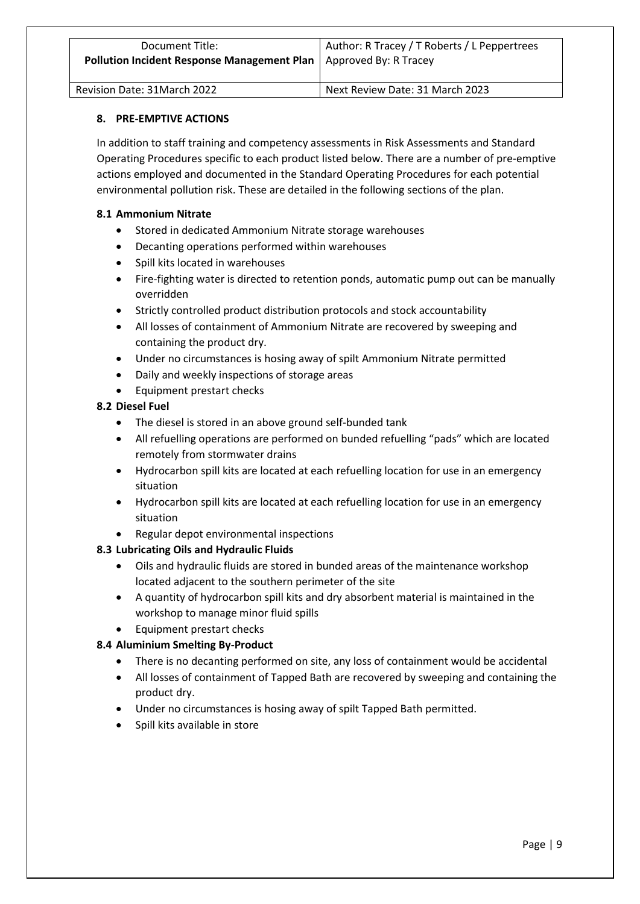| Document Title:                                                     | Author: R Tracey / T Roberts / L Peppertrees |
|---------------------------------------------------------------------|----------------------------------------------|
| Pollution Incident Response Management Plan   Approved By: R Tracey |                                              |
|                                                                     |                                              |

# **8. PRE-EMPTIVE ACTIONS**

In addition to staff training and competency assessments in Risk Assessments and Standard Operating Procedures specific to each product listed below. There are a number of pre-emptive actions employed and documented in the Standard Operating Procedures for each potential environmental pollution risk. These are detailed in the following sections of the plan.

# **8.1 Ammonium Nitrate**

- Stored in dedicated Ammonium Nitrate storage warehouses
- Decanting operations performed within warehouses
- Spill kits located in warehouses
- Fire-fighting water is directed to retention ponds, automatic pump out can be manually overridden
- Strictly controlled product distribution protocols and stock accountability
- All losses of containment of Ammonium Nitrate are recovered by sweeping and containing the product dry.
- Under no circumstances is hosing away of spilt Ammonium Nitrate permitted
- Daily and weekly inspections of storage areas
- Equipment prestart checks

# **8.2 Diesel Fuel**

- The diesel is stored in an above ground self-bunded tank
- All refuelling operations are performed on bunded refuelling "pads" which are located remotely from stormwater drains
- Hydrocarbon spill kits are located at each refuelling location for use in an emergency situation
- Hydrocarbon spill kits are located at each refuelling location for use in an emergency situation
- Regular depot environmental inspections

# **8.3 Lubricating Oils and Hydraulic Fluids**

- Oils and hydraulic fluids are stored in bunded areas of the maintenance workshop located adjacent to the southern perimeter of the site
- A quantity of hydrocarbon spill kits and dry absorbent material is maintained in the workshop to manage minor fluid spills
- Equipment prestart checks

# **8.4 Aluminium Smelting By-Product**

- There is no decanting performed on site, any loss of containment would be accidental
- All losses of containment of Tapped Bath are recovered by sweeping and containing the product dry.
- Under no circumstances is hosing away of spilt Tapped Bath permitted.
- Spill kits available in store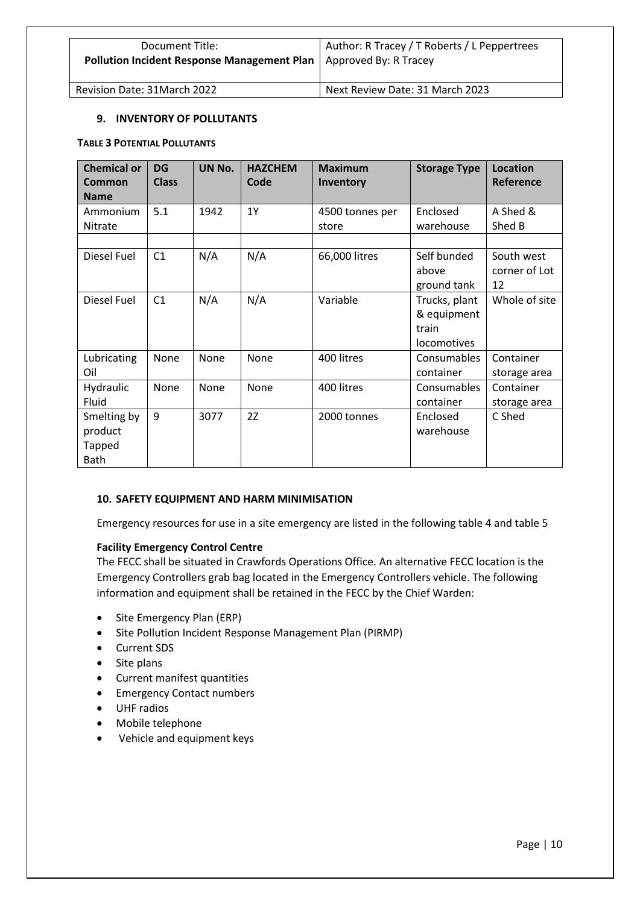| Document Title:<br><b>Pollution Incident Response Management Plan</b>   Approved By: R Tracey | Author: R Tracey / T Roberts / L Peppertrees |
|-----------------------------------------------------------------------------------------------|----------------------------------------------|
|                                                                                               |                                              |

# **9. INVENTORY OF POLLUTANTS**

#### **TABLE 3 POTENTIAL POLLUTANTS**

| <b>Chemical or</b><br>Common<br><b>Name</b> | <b>DG</b><br><b>Class</b> | UN No. | <b>HAZCHEM</b><br>Code | <b>Maximum</b><br><b>Inventory</b> | <b>Storage Type</b> | <b>Location</b><br>Reference |
|---------------------------------------------|---------------------------|--------|------------------------|------------------------------------|---------------------|------------------------------|
| Ammonium                                    | 5.1                       | 1942   | 1Y                     | 4500 tonnes per                    | Enclosed            | A Shed &                     |
| <b>Nitrate</b>                              |                           |        |                        | store                              | warehouse           | Shed B                       |
|                                             |                           |        |                        |                                    |                     |                              |
| Diesel Fuel                                 | C1                        | N/A    | N/A                    | 66,000 litres                      | Self bunded         | South west                   |
|                                             |                           |        |                        |                                    | above               | corner of Lot                |
|                                             |                           |        |                        |                                    | ground tank         | 12                           |
| Diesel Fuel                                 | C1                        | N/A    | N/A                    | Variable                           | Trucks, plant       | Whole of site                |
|                                             |                           |        |                        |                                    | & equipment         |                              |
|                                             |                           |        |                        |                                    | train               |                              |
|                                             |                           |        |                        |                                    | locomotives         |                              |
| Lubricating                                 | None                      | None   | None                   | 400 litres                         | Consumables         | Container                    |
| Oil                                         |                           |        |                        |                                    | container           | storage area                 |
| Hydraulic                                   | None                      | None   | None                   | 400 litres                         | Consumables         | Container                    |
| Fluid                                       |                           |        |                        |                                    | container           | storage area                 |
| Smelting by                                 | 9                         | 3077   | 2Z                     | 2000 tonnes                        | Enclosed            | C Shed                       |
| product                                     |                           |        |                        |                                    | warehouse           |                              |
| <b>Tapped</b>                               |                           |        |                        |                                    |                     |                              |
| <b>Bath</b>                                 |                           |        |                        |                                    |                     |                              |

# **10. SAFETY EQUIPMENT AND HARM MINIMISATION**

Emergency resources for use in a site emergency are listed in the following table 4 and table 5

# **Facility Emergency Control Centre**

The FECC shall be situated in Crawfords Operations Office. An alternative FECC location is the Emergency Controllers grab bag located in the Emergency Controllers vehicle. The following information and equipment shall be retained in the FECC by the Chief Warden:

- Site Emergency Plan (ERP)
- Site Pollution Incident Response Management Plan (PIRMP)
- Current SDS
- Site plans
- Current manifest quantities
- Emergency Contact numbers
- UHF radios
- Mobile telephone
- Vehicle and equipment keys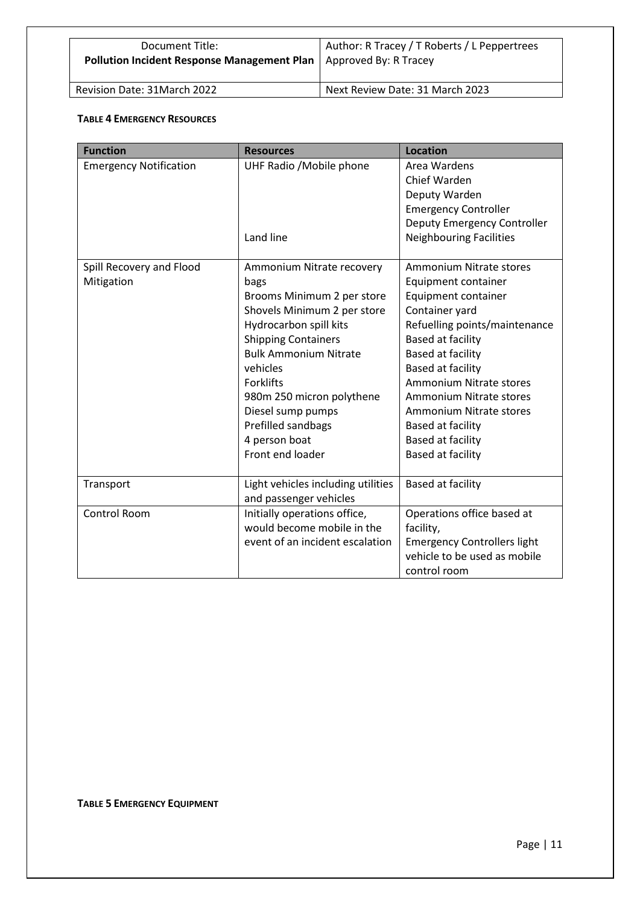| Document Title:<br><b>Pollution Incident Response Management Plan</b>   Approved By: R Tracey | Author: R Tracey / T Roberts / L Peppertrees |
|-----------------------------------------------------------------------------------------------|----------------------------------------------|
|-----------------------------------------------------------------------------------------------|----------------------------------------------|

# **TABLE 4 EMERGENCY RESOURCES**

| <b>Function</b>               | <b>Resources</b>                   | <b>Location</b>                    |
|-------------------------------|------------------------------------|------------------------------------|
| <b>Emergency Notification</b> | UHF Radio / Mobile phone           | Area Wardens                       |
|                               |                                    | Chief Warden                       |
|                               |                                    | Deputy Warden                      |
|                               |                                    | <b>Emergency Controller</b>        |
|                               |                                    | Deputy Emergency Controller        |
|                               | Land line                          | <b>Neighbouring Facilities</b>     |
|                               |                                    |                                    |
| Spill Recovery and Flood      | Ammonium Nitrate recovery          | Ammonium Nitrate stores            |
| Mitigation                    | bags                               | Equipment container                |
|                               | Brooms Minimum 2 per store         | Equipment container                |
|                               | Shovels Minimum 2 per store        | Container yard                     |
|                               | Hydrocarbon spill kits             | Refuelling points/maintenance      |
|                               | <b>Shipping Containers</b>         | <b>Based at facility</b>           |
|                               | <b>Bulk Ammonium Nitrate</b>       | <b>Based at facility</b>           |
|                               | vehicles                           | Based at facility                  |
|                               | <b>Forklifts</b>                   | Ammonium Nitrate stores            |
|                               | 980m 250 micron polythene          | <b>Ammonium Nitrate stores</b>     |
|                               | Diesel sump pumps                  | Ammonium Nitrate stores            |
|                               | Prefilled sandbags                 | Based at facility                  |
|                               | 4 person boat                      | <b>Based at facility</b>           |
|                               | Front end loader                   | <b>Based at facility</b>           |
|                               |                                    |                                    |
| Transport                     | Light vehicles including utilities | Based at facility                  |
|                               | and passenger vehicles             |                                    |
| Control Room                  | Initially operations office,       | Operations office based at         |
|                               | would become mobile in the         | facility,                          |
|                               | event of an incident escalation    | <b>Emergency Controllers light</b> |
|                               |                                    | vehicle to be used as mobile       |
|                               |                                    | control room                       |

**TABLE 5 EMERGENCY EQUIPMENT**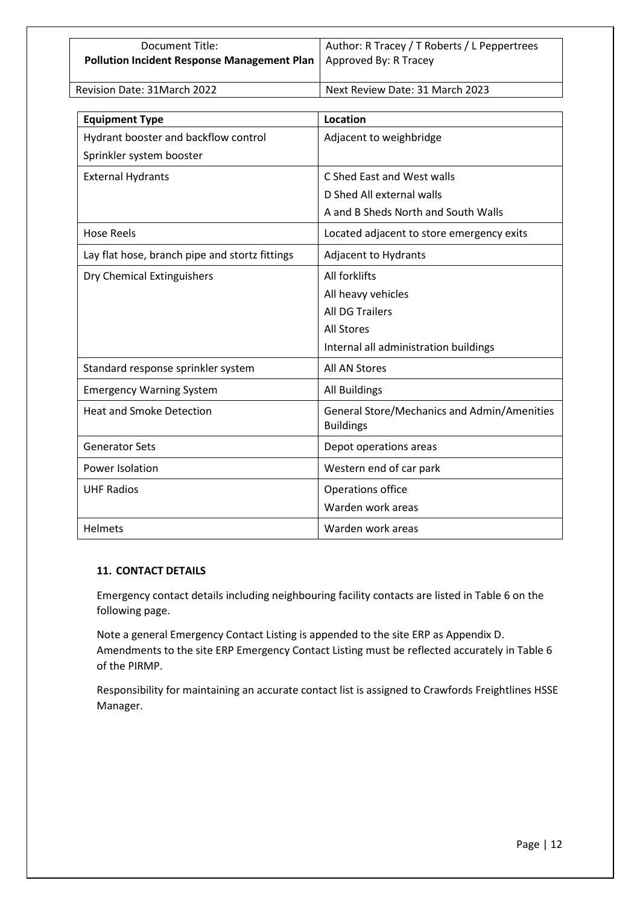| Document Title:                                                     | Author: R Tracey / T Roberts / L Peppertrees |
|---------------------------------------------------------------------|----------------------------------------------|
| Pollution Incident Response Management Plan   Approved By: R Tracey |                                              |
|                                                                     |                                              |

|  | Revision Date: 31March 2022 |  |
|--|-----------------------------|--|
|--|-----------------------------|--|

Pext Review Date: 31 March 2023

| <b>Equipment Type</b>                          | Location                                                        |
|------------------------------------------------|-----------------------------------------------------------------|
| Hydrant booster and backflow control           | Adjacent to weighbridge                                         |
| Sprinkler system booster                       |                                                                 |
| <b>External Hydrants</b>                       | C Shed East and West walls                                      |
|                                                | D Shed All external walls                                       |
|                                                | A and B Sheds North and South Walls                             |
| <b>Hose Reels</b>                              | Located adjacent to store emergency exits                       |
| Lay flat hose, branch pipe and stortz fittings | Adjacent to Hydrants                                            |
| Dry Chemical Extinguishers                     | All forklifts                                                   |
|                                                | All heavy vehicles                                              |
|                                                | <b>All DG Trailers</b>                                          |
|                                                | <b>All Stores</b>                                               |
|                                                | Internal all administration buildings                           |
| Standard response sprinkler system             | <b>All AN Stores</b>                                            |
| <b>Emergency Warning System</b>                | <b>All Buildings</b>                                            |
| <b>Heat and Smoke Detection</b>                | General Store/Mechanics and Admin/Amenities<br><b>Buildings</b> |
| <b>Generator Sets</b>                          | Depot operations areas                                          |
| Power Isolation                                | Western end of car park                                         |
| <b>UHF Radios</b>                              | Operations office                                               |
|                                                | Warden work areas                                               |
| <b>Helmets</b>                                 | Warden work areas                                               |

# **11. CONTACT DETAILS**

Emergency contact details including neighbouring facility contacts are listed in Table 6 on the following page.

Note a general Emergency Contact Listing is appended to the site ERP as Appendix D. Amendments to the site ERP Emergency Contact Listing must be reflected accurately in Table 6 of the PIRMP.

Responsibility for maintaining an accurate contact list is assigned to Crawfords Freightlines HSSE Manager.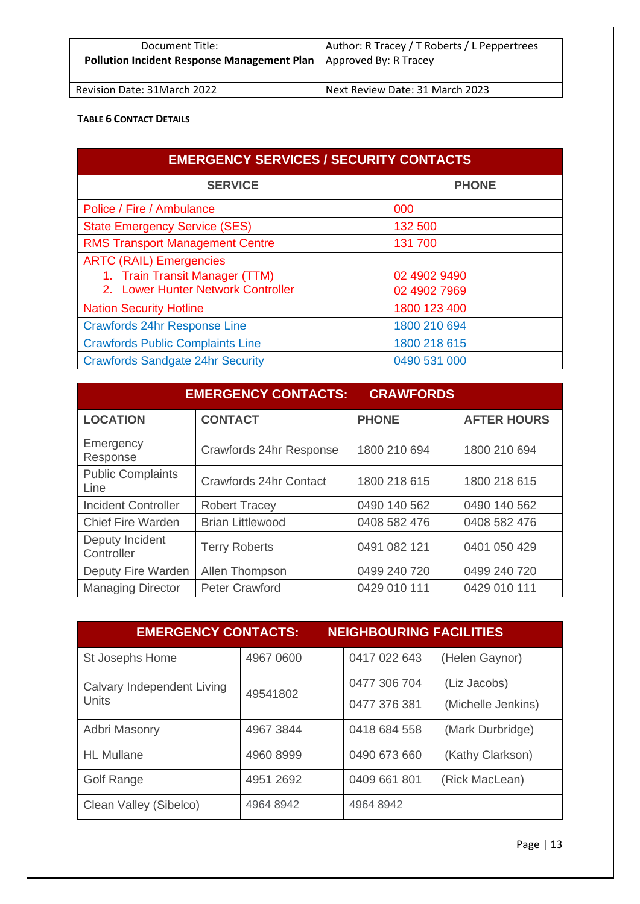| Document Title:<br>Pollution Incident Response Management Plan   Approved By: R Tracey | Author: R Tracey / T Roberts / L Peppertrees |
|----------------------------------------------------------------------------------------|----------------------------------------------|
| Revision Date: 31 March 2022                                                           | Next Review Date: 31 March 2023              |

# **TABLE 6 CONTACT DETAILS**

| <b>EMERGENCY SERVICES / SECURITY CONTACTS</b> |              |  |
|-----------------------------------------------|--------------|--|
| <b>SERVICE</b>                                | <b>PHONE</b> |  |
| Police / Fire / Ambulance                     | 000          |  |
| <b>State Emergency Service (SES)</b>          | 132 500      |  |
| <b>RMS Transport Management Centre</b>        | 131 700      |  |
| <b>ARTC (RAIL) Emergencies</b>                |              |  |
| 1. Train Transit Manager (TTM)                | 02 4902 9490 |  |
| 2. Lower Hunter Network Controller            | 02 4902 7969 |  |
| <b>Nation Security Hotline</b>                | 1800 123 400 |  |
| <b>Crawfords 24hr Response Line</b>           | 1800 210 694 |  |
| <b>Crawfords Public Complaints Line</b>       | 1800 218 615 |  |
| <b>Crawfords Sandgate 24hr Security</b>       | 0490 531 000 |  |

|                                  | <b>EMERGENCY CONTACTS:</b> | <b>CRAWFORDS</b> |                    |
|----------------------------------|----------------------------|------------------|--------------------|
| <b>LOCATION</b>                  | <b>CONTACT</b>             | <b>PHONE</b>     | <b>AFTER HOURS</b> |
| Emergency<br>Response            | Crawfords 24hr Response    | 1800 210 694     | 1800 210 694       |
| <b>Public Complaints</b><br>Line | Crawfords 24hr Contact     | 1800 218 615     | 1800 218 615       |
| <b>Incident Controller</b>       | <b>Robert Tracey</b>       | 0490 140 562     | 0490 140 562       |
| <b>Chief Fire Warden</b>         | <b>Brian Littlewood</b>    | 0408 582 476     | 0408 582 476       |
| Deputy Incident<br>Controller    | <b>Terry Roberts</b>       | 0491 082 121     | 0401 050 429       |
| Deputy Fire Warden               | Allen Thompson             | 0499 240 720     | 0499 240 720       |
| <b>Managing Director</b>         | <b>Peter Crawford</b>      | 0429 010 111     | 0429 010 111       |

| <b>EMERGENCY CONTACTS:</b>                 |           | <b>NEIGHBOURING FACILITIES</b> |                    |
|--------------------------------------------|-----------|--------------------------------|--------------------|
| St Josephs Home                            | 4967 0600 | 0417 022 643                   | (Helen Gaynor)     |
| Calvary Independent Living<br><b>Units</b> | 49541802  | 0477 306 704                   | (Liz Jacobs)       |
|                                            |           | 0477 376 381                   | (Michelle Jenkins) |
| Adbri Masonry                              | 4967 3844 | 0418 684 558                   | (Mark Durbridge)   |
| <b>HL</b> Mullane                          | 4960 8999 | 0490 673 660                   | (Kathy Clarkson)   |
| <b>Golf Range</b>                          | 4951 2692 | 0409 661 801                   | (Rick MacLean)     |
| Clean Valley (Sibelco)                     | 4964 8942 | 4964 8942                      |                    |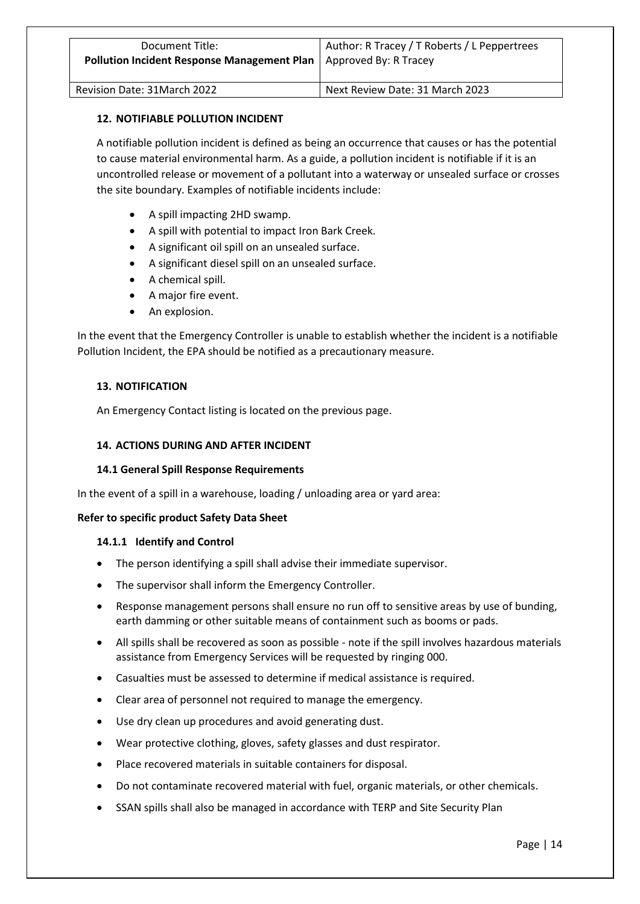# **12. NOTIFIABLE POLLUTION INCIDENT**

A notifiable pollution incident is defined as being an occurrence that causes or has the potential to cause material environmental harm. As a guide, a pollution incident is notifiable if it is an uncontrolled release or movement of a pollutant into a waterway or unsealed surface or crosses the site boundary. Examples of notifiable incidents include:

- A spill impacting 2HD swamp.
- A spill with potential to impact Iron Bark Creek.
- A significant oil spill on an unsealed surface.
- A significant diesel spill on an unsealed surface.
- A chemical spill.
- A major fire event.
- An explosion.

In the event that the Emergency Controller is unable to establish whether the incident is a notifiable Pollution Incident, the EPA should be notified as a precautionary measure.

# **13. NOTIFICATION**

An Emergency Contact listing is located on the previous page.

# **14. ACTIONS DURING AND AFTER INCIDENT**

# **14.1 General Spill Response Requirements**

In the event of a spill in a warehouse, loading / unloading area or yard area:

# **Refer to specific product Safety Data Sheet**

# **14.1.1 Identify and Control**

- The person identifying a spill shall advise their immediate supervisor.
- The supervisor shall inform the Emergency Controller.
- Response management persons shall ensure no run off to sensitive areas by use of bunding, earth damming or other suitable means of containment such as booms or pads.
- All spills shall be recovered as soon as possible note if the spill involves hazardous materials assistance from Emergency Services will be requested by ringing 000.
- Casualties must be assessed to determine if medical assistance is required.
- Clear area of personnel not required to manage the emergency.
- Use dry clean up procedures and avoid generating dust.
- Wear protective clothing, gloves, safety glasses and dust respirator.
- Place recovered materials in suitable containers for disposal.
- Do not contaminate recovered material with fuel, organic materials, or other chemicals.
- SSAN spills shall also be managed in accordance with TERP and Site Security Plan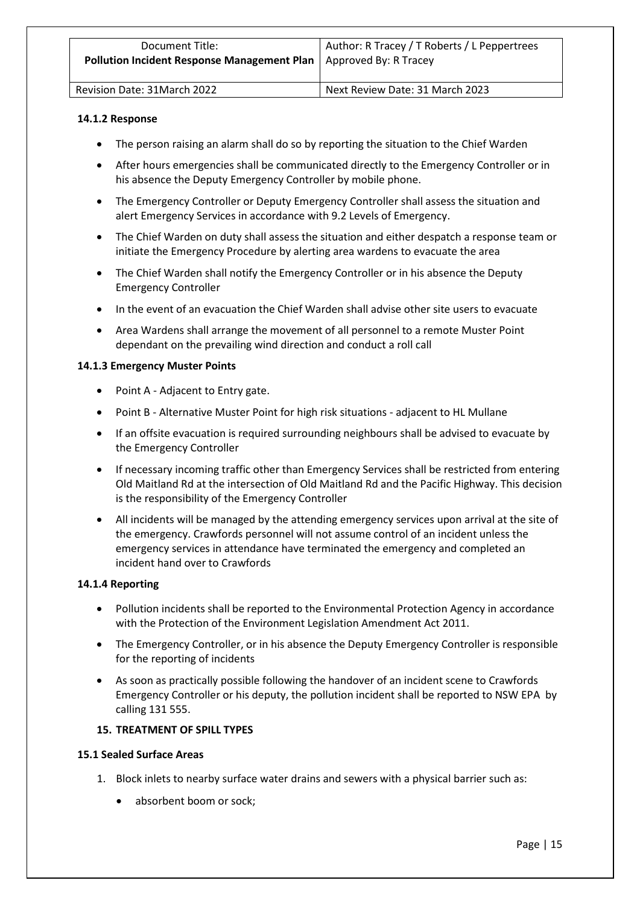| Document Title:                             | Author: R Tracey / T Roberts / L Peppertrees |
|---------------------------------------------|----------------------------------------------|
| Pollution Incident Response Management Plan | Approved By: R Tracey                        |
| Revision Date: 31March 2022                 | Next Review Date: 31 March 2023              |

#### **14.1.2 Response**

- The person raising an alarm shall do so by reporting the situation to the Chief Warden
- After hours emergencies shall be communicated directly to the Emergency Controller or in his absence the Deputy Emergency Controller by mobile phone.
- The Emergency Controller or Deputy Emergency Controller shall assess the situation and alert Emergency Services in accordance with 9.2 Levels of Emergency.
- The Chief Warden on duty shall assess the situation and either despatch a response team or initiate the Emergency Procedure by alerting area wardens to evacuate the area
- The Chief Warden shall notify the Emergency Controller or in his absence the Deputy Emergency Controller
- In the event of an evacuation the Chief Warden shall advise other site users to evacuate
- Area Wardens shall arrange the movement of all personnel to a remote Muster Point dependant on the prevailing wind direction and conduct a roll call

#### **14.1.3 Emergency Muster Points**

- Point A Adjacent to Entry gate.
- Point B Alternative Muster Point for high risk situations adjacent to HL Mullane
- If an offsite evacuation is required surrounding neighbours shall be advised to evacuate by the Emergency Controller
- If necessary incoming traffic other than Emergency Services shall be restricted from entering Old Maitland Rd at the intersection of Old Maitland Rd and the Pacific Highway. This decision is the responsibility of the Emergency Controller
- All incidents will be managed by the attending emergency services upon arrival at the site of the emergency. Crawfords personnel will not assume control of an incident unless the emergency services in attendance have terminated the emergency and completed an incident hand over to Crawfords

#### **14.1.4 Reporting**

- Pollution incidents shall be reported to the Environmental Protection Agency in accordance with the Protection of the Environment Legislation Amendment Act 2011.
- The Emergency Controller, or in his absence the Deputy Emergency Controller is responsible for the reporting of incidents
- As soon as practically possible following the handover of an incident scene to Crawfords Emergency Controller or his deputy, the pollution incident shall be reported to NSW EPA by calling 131 555.

# **15. TREATMENT OF SPILL TYPES**

#### **15.1 Sealed Surface Areas**

- 1. Block inlets to nearby surface water drains and sewers with a physical barrier such as:
	- absorbent boom or sock;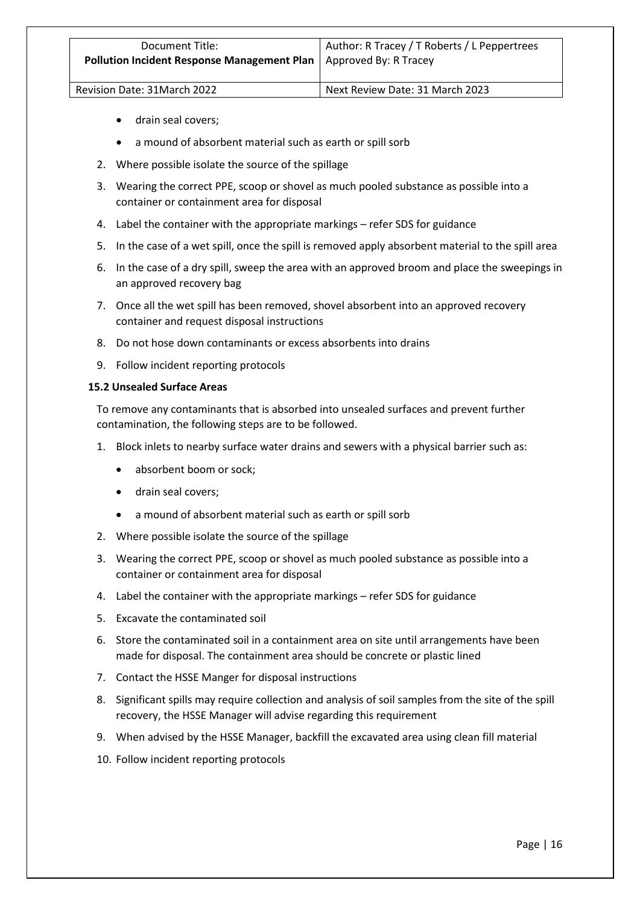- drain seal covers;
- a mound of absorbent material such as earth or spill sorb
- 2. Where possible isolate the source of the spillage
- 3. Wearing the correct PPE, scoop or shovel as much pooled substance as possible into a container or containment area for disposal
- 4. Label the container with the appropriate markings refer SDS for guidance
- 5. In the case of a wet spill, once the spill is removed apply absorbent material to the spill area
- 6. In the case of a dry spill, sweep the area with an approved broom and place the sweepings in an approved recovery bag
- 7. Once all the wet spill has been removed, shovel absorbent into an approved recovery container and request disposal instructions
- 8. Do not hose down contaminants or excess absorbents into drains
- 9. Follow incident reporting protocols

# **15.2 Unsealed Surface Areas**

To remove any contaminants that is absorbed into unsealed surfaces and prevent further contamination, the following steps are to be followed.

- 1. Block inlets to nearby surface water drains and sewers with a physical barrier such as:
	- absorbent boom or sock;
	- drain seal covers;
	- a mound of absorbent material such as earth or spill sorb
- 2. Where possible isolate the source of the spillage
- 3. Wearing the correct PPE, scoop or shovel as much pooled substance as possible into a container or containment area for disposal
- 4. Label the container with the appropriate markings refer SDS for guidance
- 5. Excavate the contaminated soil
- 6. Store the contaminated soil in a containment area on site until arrangements have been made for disposal. The containment area should be concrete or plastic lined
- 7. Contact the HSSE Manger for disposal instructions
- 8. Significant spills may require collection and analysis of soil samples from the site of the spill recovery, the HSSE Manager will advise regarding this requirement
- 9. When advised by the HSSE Manager, backfill the excavated area using clean fill material
- 10. Follow incident reporting protocols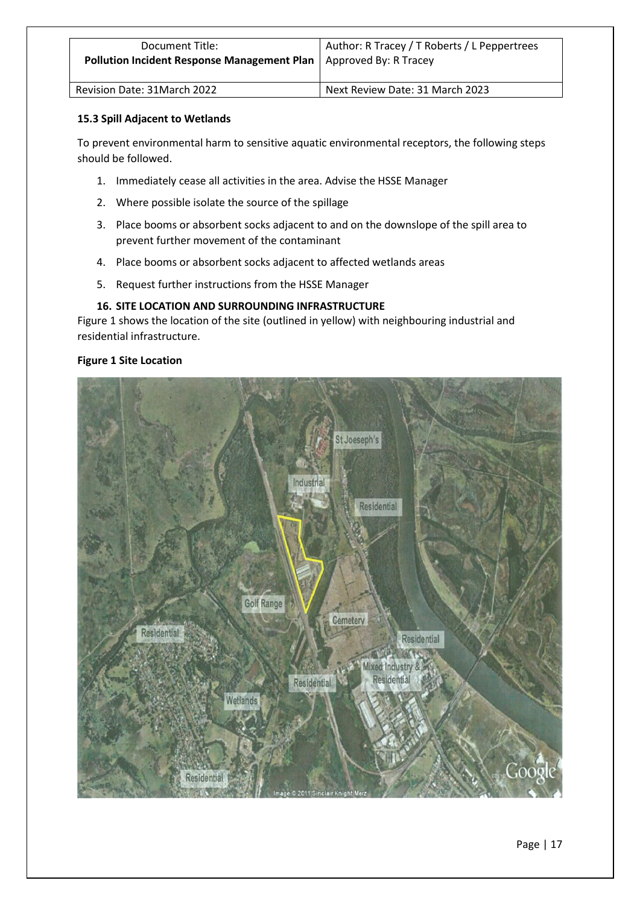| Document Title:                                    | Author: R Tracey / T Roberts / L Peppertrees |
|----------------------------------------------------|----------------------------------------------|
| <b>Pollution Incident Response Management Plan</b> | Approved By: R Tracey                        |
| Revision Date: 31 March 2022                       | Next Review Date: 31 March 2023              |

# **15.3 Spill Adjacent to Wetlands**

To prevent environmental harm to sensitive aquatic environmental receptors, the following steps should be followed.

- 1. Immediately cease all activities in the area. Advise the HSSE Manager
- 2. Where possible isolate the source of the spillage
- 3. Place booms or absorbent socks adjacent to and on the downslope of the spill area to prevent further movement of the contaminant
- 4. Place booms or absorbent socks adjacent to affected wetlands areas
- 5. Request further instructions from the HSSE Manager

# **16. SITE LOCATION AND SURROUNDING INFRASTRUCTURE**

Figure 1 shows the location of the site (outlined in yellow) with neighbouring industrial and residential infrastructure.

# **Figure 1 Site Location**